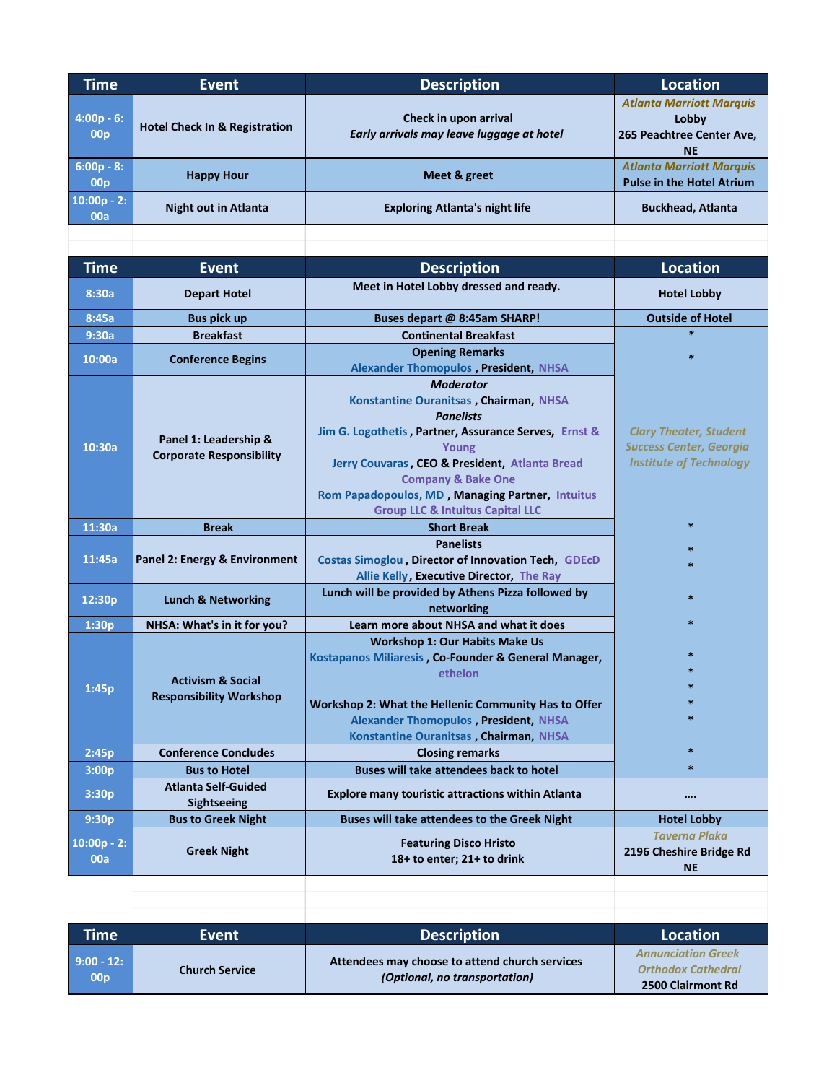| <b>Time</b>                     | <b>Event</b>                                                   | <b>Description</b>                                                 | <b>Location</b>                                                                    |
|---------------------------------|----------------------------------------------------------------|--------------------------------------------------------------------|------------------------------------------------------------------------------------|
| $4:00p - 6:$<br>00 <sub>p</sub> | <b>Hotel Check In &amp; Registration</b>                       | Check in upon arrival<br>Early arrivals may leave luggage at hotel | <b>Atlanta Marriott Marquis</b><br>Lobby<br>265 Peachtree Center Ave,<br><b>NE</b> |
| $6:00p - 8:$<br>00 <sub>p</sub> | <b>Happy Hour</b>                                              | Meet & greet                                                       | <b>Atlanta Marriott Marquis</b><br><b>Pulse in the Hotel Atrium</b>                |
| $10:00p - 2:$<br>00a            | <b>Night out in Atlanta</b>                                    | <b>Exploring Atlanta's night life</b>                              | <b>Buckhead, Atlanta</b>                                                           |
|                                 |                                                                |                                                                    |                                                                                    |
| <b>Time</b>                     | <b>Event</b>                                                   | <b>Description</b>                                                 | <b>Location</b>                                                                    |
| 8:30a                           | <b>Depart Hotel</b>                                            | Meet in Hotel Lobby dressed and ready.                             | <b>Hotel Lobby</b>                                                                 |
| 8:45a                           | <b>Bus pick up</b>                                             | Buses depart @ 8:45am SHARP!                                       | <b>Outside of Hotel</b>                                                            |
| 9:30a                           | <b>Breakfast</b>                                               | <b>Continental Breakfast</b>                                       | $\ast$                                                                             |
| 10:00a                          | <b>Conference Begins</b>                                       | <b>Opening Remarks</b>                                             | 宋                                                                                  |
|                                 |                                                                | <b>Alexander Thomopulos, President, NHSA</b>                       |                                                                                    |
|                                 |                                                                | <b>Moderator</b>                                                   |                                                                                    |
|                                 | Panel 1: Leadership &<br><b>Corporate Responsibility</b>       | Konstantine Ouranitsas, Chairman, NHSA                             |                                                                                    |
|                                 |                                                                | <b>Panelists</b>                                                   |                                                                                    |
| 10:30a                          |                                                                | Jim G. Logothetis, Partner, Assurance Serves, Ernst &<br>Young     | <b>Clary Theater, Student</b><br><b>Success Center, Georgia</b>                    |
|                                 |                                                                | Jerry Couvaras, CEO & President, Atlanta Bread                     | <b>Institute of Technology</b>                                                     |
|                                 |                                                                | <b>Company &amp; Bake One</b>                                      |                                                                                    |
|                                 |                                                                | Rom Papadopoulos, MD, Managing Partner, Intuitus                   |                                                                                    |
|                                 |                                                                | <b>Group LLC &amp; Intuitus Capital LLC</b>                        |                                                                                    |
| 11:30a                          | <b>Break</b>                                                   | <b>Short Break</b>                                                 | $\ast$                                                                             |
|                                 |                                                                | <b>Panelists</b>                                                   |                                                                                    |
| 11:45a                          | Panel 2: Energy & Environment                                  | Costas Simoglou, Director of Innovation Tech, GDEcD                |                                                                                    |
|                                 |                                                                | Allie Kelly, Executive Director, The Ray                           |                                                                                    |
| 12:30p                          | <b>Lunch &amp; Networking</b>                                  | Lunch will be provided by Athens Pizza followed by<br>networking   |                                                                                    |
| 1:30p                           | NHSA: What's in it for you?                                    | Learn more about NHSA and what it does                             |                                                                                    |
|                                 |                                                                | <b>Workshop 1: Our Habits Make Us</b>                              |                                                                                    |
|                                 |                                                                | Kostapanos Miliaresis, Co-Founder & General Manager,               |                                                                                    |
|                                 | <b>Activism &amp; Social</b><br><b>Responsibility Workshop</b> | ethelon                                                            |                                                                                    |
| 1:45p                           |                                                                |                                                                    | $\ast$                                                                             |
|                                 |                                                                | Workshop 2: What the Hellenic Community Has to Offer               | $\ast$                                                                             |
|                                 |                                                                | <b>Alexander Thomopulos, President, NHSA</b>                       |                                                                                    |
|                                 | <b>Conference Concludes</b>                                    | Konstantine Ouranitsas, Chairman, NHSA<br><b>Closing remarks</b>   | $\ast$                                                                             |
| 2:45p<br>3:00p                  | <b>Bus to Hotel</b>                                            | Buses will take attendees back to hotel                            | $\ast$                                                                             |
| 3:30p                           | <b>Atlanta Self-Guided</b>                                     |                                                                    |                                                                                    |
|                                 | Sightseeing                                                    | <b>Explore many touristic attractions within Atlanta</b>           |                                                                                    |
| 9:30p                           | <b>Bus to Greek Night</b>                                      | Buses will take attendees to the Greek Night                       | <b>Hotel Lobby</b>                                                                 |

| <b>Time</b>                     | Event                 | <b>Description</b>                                                              | Location                                                                    |
|---------------------------------|-----------------------|---------------------------------------------------------------------------------|-----------------------------------------------------------------------------|
| $9:00 - 12:$<br>00 <sub>D</sub> | <b>Church Service</b> | Attendees may choose to attend church services<br>(Optional, no transportation) | <b>Annunciation Greek</b><br><b>Orthodox Cathedral</b><br>2500 Clairmont Rd |

*Taverna Plaka* **2196 Cheshire Bridge Rd NE**

**00a Greek Night Featuring Disco Hristo 18+ to enter; 21+ to drink**

**10:00p - 2:**